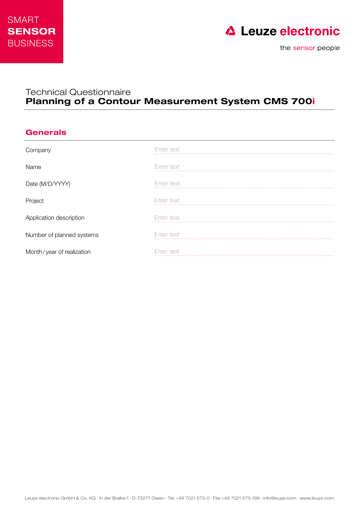



## Technical Questionnaire Planning of a Contour Measurement System CMS 700i

## **Generals**

| Company                   | Enter text |
|---------------------------|------------|
| Name                      | Enter text |
| Date (M/D/YYYY)           | Enter text |
| Project                   | Enter text |
| Application description   | Enter text |
| Number of planned systems | Enter text |
| Month/year of realization | nter text  |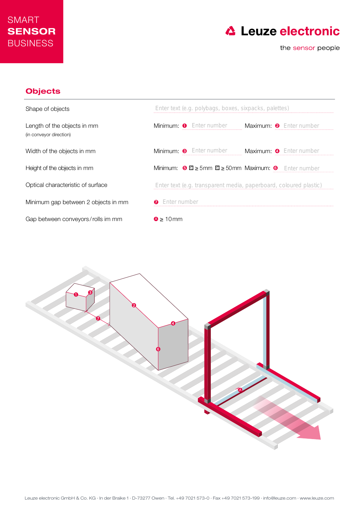



## **Objects**



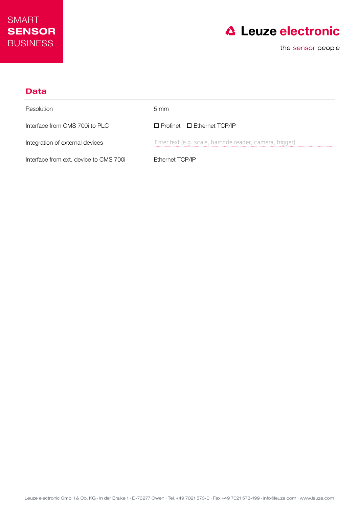



| Data                                   |                                                          |
|----------------------------------------|----------------------------------------------------------|
| Resolution                             | $5 \text{ mm}$                                           |
| Interface from CMS 700i to PLC         | $\Box$ Profinet $\Box$ Ethernet TCP/IP                   |
| Integration of external devices        | Enter text (e.g. scale, barcode reader, camera, trigger) |
| Interface from ext. device to CMS 700i | Ethernet TCP/IP                                          |

Leuze electronic GmbH & Co. KG · In der Braike 1 · D-73277 Owen · Tel. +49 7021 573-0 · Fax +49 7021 573-199 · info@leuze.com · www.leuze.com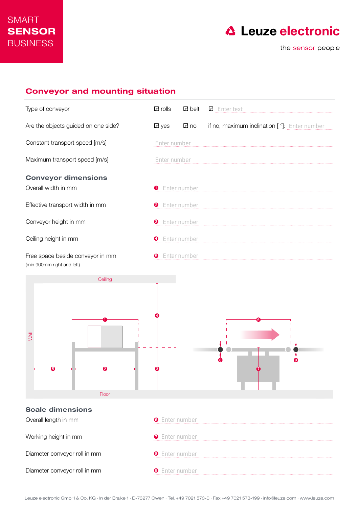

## Conveyor and mounting situation

| Type of conveyor                                               | <b>a</b> rolls        | <b>a</b> belt | <b>C</b> Enter text                          |
|----------------------------------------------------------------|-----------------------|---------------|----------------------------------------------|
| Are the objects guided on one side?                            | $\Box$ yes            | lo no         | if no, maximum inclination [°]: Enter number |
| Constant transport speed [m/s]                                 | Enter number          |               |                                              |
| Maximum transport speed [m/s]                                  | Enter number          |               |                                              |
| <b>Conveyor dimensions</b><br>Overall width in mm              | <b>O</b> Enter number |               |                                              |
| Effective transport width in mm                                | <b>2</b> Enter number |               |                                              |
| Conveyor height in mm                                          | <b>8</b> Enter number |               |                                              |
| Ceiling height in mm                                           | <b>O</b> Enter number |               |                                              |
| Free space beside conveyor in mm<br>(min 900mm right and left) | ❺                     | Enter number  |                                              |
| Ceiling                                                        |                       |               |                                              |
| <b>Nall</b><br>Floor                                           |                       |               |                                              |
| <b>Scale dimensions</b>                                        |                       |               |                                              |
| Overall length in mm                                           | <b>O</b> Enter number |               |                                              |
| Working height in mm                                           | <b>O</b> Enter number |               |                                              |
| Diameter conveyor roll in mm                                   | <b>O</b> Enter number |               |                                              |
| Diameter conveyor roll in mm                                   | <b>O</b> Enter number |               |                                              |

Leuze electronic GmbH & Co. KG · In der Braike 1 · D-73277 Owen · Tel. +49 7021 573-0 · Fax +49 7021 573-199 · info@leuze.com · www.leuze.com